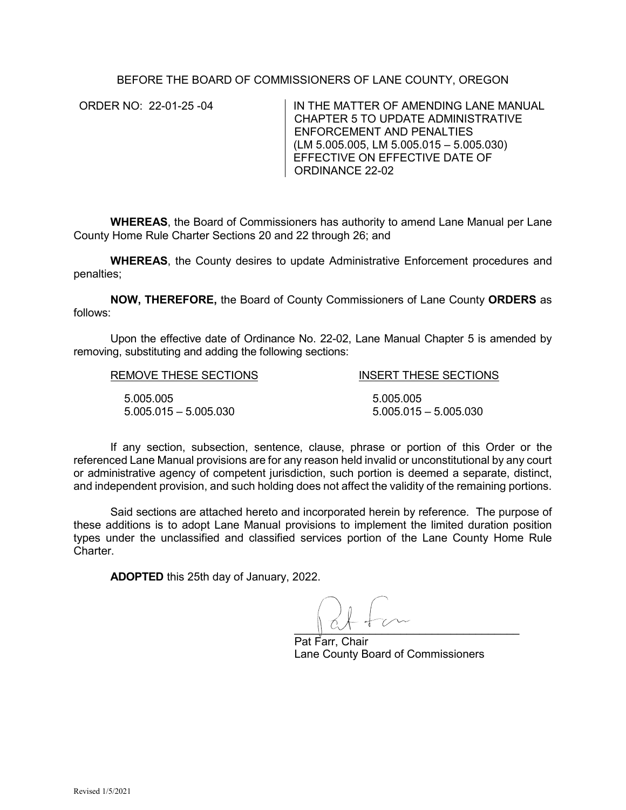## BEFORE THE BOARD OF COMMISSIONERS OF LANE COUNTY, OREGON

ORDER NO: 22-01-25 -04 IN THE MATTER OF AMENDING LANE MANUAL CHAPTER 5 TO UPDATE ADMINISTRATIVE ENFORCEMENT AND PENALTIES (LM 5.005.005, LM 5.005.015 – 5.005.030) EFFECTIVE ON EFFECTIVE DATE OF ORDINANCE 22-02

**WHEREAS**, the Board of Commissioners has authority to amend Lane Manual per Lane County Home Rule Charter Sections 20 and 22 through 26; and

**WHEREAS**, the County desires to update Administrative Enforcement procedures and penalties;

**NOW, THEREFORE,** the Board of County Commissioners of Lane County **ORDERS** as follows:

Upon the effective date of Ordinance No. 22-02, Lane Manual Chapter 5 is amended by removing, substituting and adding the following sections:

| REMOVE THESE SECTIONS   | <b>INSERT THESE SECTIONS</b> |
|-------------------------|------------------------------|
| 5.005.005               | 5.005.005                    |
| $5.005.015 - 5.005.030$ | $5.005.015 - 5.005.030$      |

If any section, subsection, sentence, clause, phrase or portion of this Order or the referenced Lane Manual provisions are for any reason held invalid or unconstitutional by any court or administrative agency of competent jurisdiction, such portion is deemed a separate, distinct, and independent provision, and such holding does not affect the validity of the remaining portions.

Said sections are attached hereto and incorporated herein by reference. The purpose of these additions is to adopt Lane Manual provisions to implement the limited duration position types under the unclassified and classified services portion of the Lane County Home Rule Charter.

**ADOPTED** this 25th day of January, 2022.

 $\cup$   $\cup$   $\cup$   $\cup$ 

Pat Farr, Chair Lane County Board of Commissioners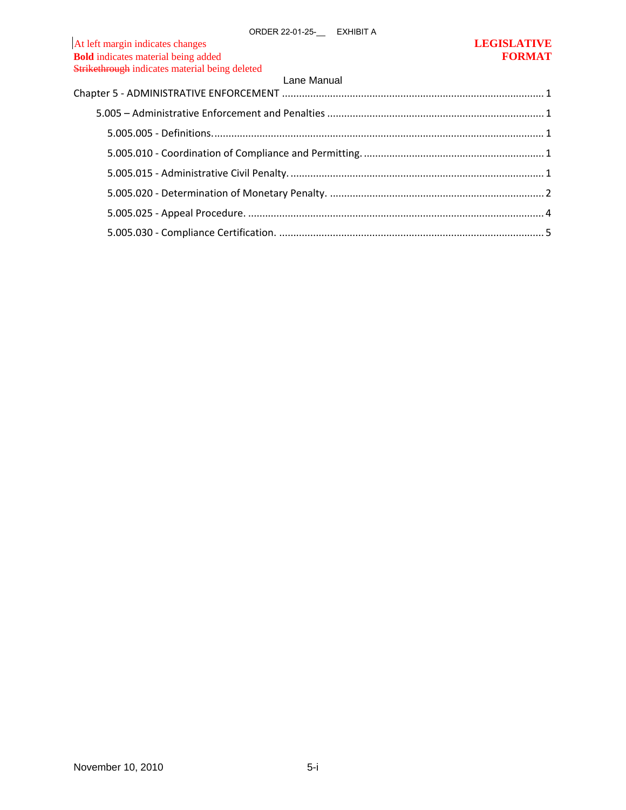| <b>Bold</b> indicates material being added     | <b>FORMAT</b> |
|------------------------------------------------|---------------|
| Strikethrough indicates material being deleted |               |
| Lane Manual                                    |               |
|                                                |               |
|                                                |               |
|                                                |               |
|                                                |               |
|                                                |               |
|                                                |               |
|                                                |               |
|                                                |               |
|                                                |               |